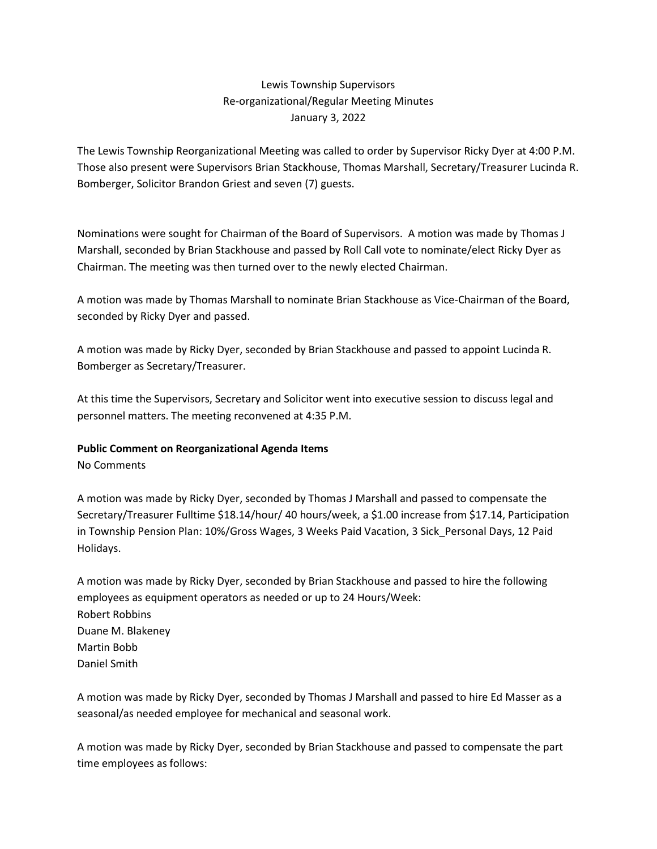# Lewis Township Supervisors Re-organizational/Regular Meeting Minutes January 3, 2022

The Lewis Township Reorganizational Meeting was called to order by Supervisor Ricky Dyer at 4:00 P.M. Those also present were Supervisors Brian Stackhouse, Thomas Marshall, Secretary/Treasurer Lucinda R. Bomberger, Solicitor Brandon Griest and seven (7) guests.

Nominations were sought for Chairman of the Board of Supervisors. A motion was made by Thomas J Marshall, seconded by Brian Stackhouse and passed by Roll Call vote to nominate/elect Ricky Dyer as Chairman. The meeting was then turned over to the newly elected Chairman.

A motion was made by Thomas Marshall to nominate Brian Stackhouse as Vice-Chairman of the Board, seconded by Ricky Dyer and passed.

A motion was made by Ricky Dyer, seconded by Brian Stackhouse and passed to appoint Lucinda R. Bomberger as Secretary/Treasurer.

At this time the Supervisors, Secretary and Solicitor went into executive session to discuss legal and personnel matters. The meeting reconvened at 4:35 P.M.

# **Public Comment on Reorganizational Agenda Items**

No Comments

A motion was made by Ricky Dyer, seconded by Thomas J Marshall and passed to compensate the Secretary/Treasurer Fulltime \$18.14/hour/ 40 hours/week, a \$1.00 increase from \$17.14, Participation in Township Pension Plan: 10%/Gross Wages, 3 Weeks Paid Vacation, 3 Sick\_Personal Days, 12 Paid Holidays.

A motion was made by Ricky Dyer, seconded by Brian Stackhouse and passed to hire the following employees as equipment operators as needed or up to 24 Hours/Week: Robert Robbins Duane M. Blakeney Martin Bobb Daniel Smith

A motion was made by Ricky Dyer, seconded by Thomas J Marshall and passed to hire Ed Masser as a seasonal/as needed employee for mechanical and seasonal work.

A motion was made by Ricky Dyer, seconded by Brian Stackhouse and passed to compensate the part time employees as follows: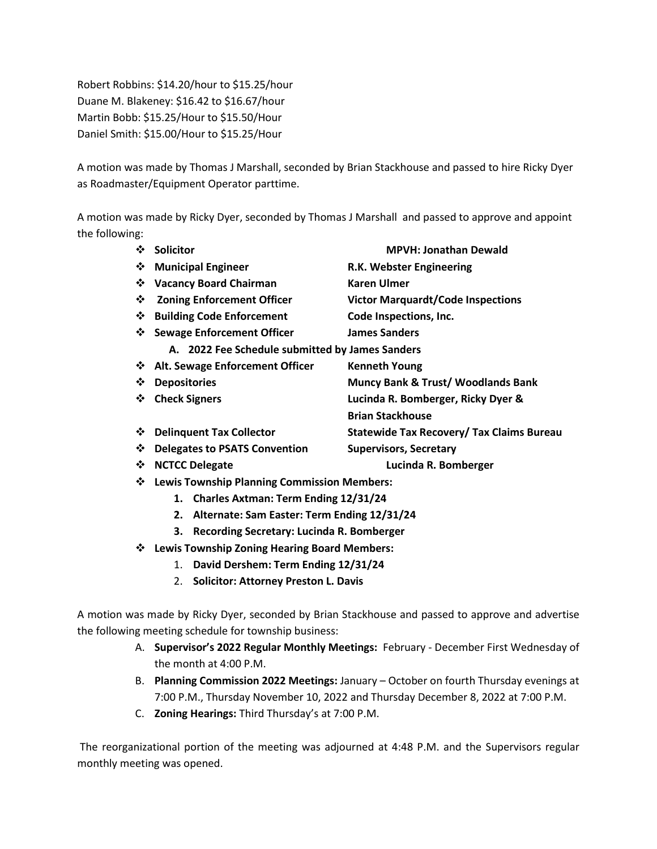Robert Robbins: \$14.20/hour to \$15.25/hour Duane M. Blakeney: \$16.42 to \$16.67/hour Martin Bobb: \$15.25/Hour to \$15.50/Hour Daniel Smith: \$15.00/Hour to \$15.25/Hour

A motion was made by Thomas J Marshall, seconded by Brian Stackhouse and passed to hire Ricky Dyer as Roadmaster/Equipment Operator parttime.

A motion was made by Ricky Dyer, seconded by Thomas J Marshall and passed to approve and appoint the following:

| $\frac{1}{2}$ | <b>Solicitor</b>                                   | <b>MPVH: Jonathan Dewald</b>                     |
|---------------|----------------------------------------------------|--------------------------------------------------|
| ❖             | <b>Municipal Engineer</b>                          | R.K. Webster Engineering                         |
| ❖             | <b>Vacancy Board Chairman</b>                      | <b>Karen Ulmer</b>                               |
| ❖             | <b>Zoning Enforcement Officer</b>                  | <b>Victor Marquardt/Code Inspections</b>         |
| ❖             | <b>Building Code Enforcement</b>                   | Code Inspections, Inc.                           |
|               | ❖ Sewage Enforcement Officer                       | <b>James Sanders</b>                             |
|               | A. 2022 Fee Schedule submitted by James Sanders    |                                                  |
| ❖             | <b>Alt. Sewage Enforcement Officer</b>             | <b>Kenneth Young</b>                             |
| ❖             | <b>Depositories</b>                                | <b>Muncy Bank &amp; Trust/ Woodlands Bank</b>    |
| ❖             | <b>Check Signers</b>                               | Lucinda R. Bomberger, Ricky Dyer &               |
|               |                                                    | <b>Brian Stackhouse</b>                          |
| ❖             | <b>Delinquent Tax Collector</b>                    | <b>Statewide Tax Recovery/ Tax Claims Bureau</b> |
| ❖             | <b>Delegates to PSATS Convention</b>               | <b>Supervisors, Secretary</b>                    |
| ❖             | <b>NCTCC Delegate</b>                              | Lucinda R. Bomberger                             |
| ❖             | <b>Lewis Township Planning Commission Members:</b> |                                                  |
|               | 1. Charles Axtman: Term Ending 12/31/24            |                                                  |

- **2. Alternate: Sam Easter: Term Ending 12/31/24**
- **3. Recording Secretary: Lucinda R. Bomberger**
- ❖ **Lewis Township Zoning Hearing Board Members:**
	- 1. **David Dershem: Term Ending 12/31/24**
	- 2. **Solicitor: Attorney Preston L. Davis**

A motion was made by Ricky Dyer, seconded by Brian Stackhouse and passed to approve and advertise the following meeting schedule for township business:

- A. **Supervisor's 2022 Regular Monthly Meetings:** February December First Wednesday of the month at 4:00 P.M.
- B. **Planning Commission 2022 Meetings:** January October on fourth Thursday evenings at 7:00 P.M., Thursday November 10, 2022 and Thursday December 8, 2022 at 7:00 P.M.
- C. **Zoning Hearings:** Third Thursday's at 7:00 P.M.

The reorganizational portion of the meeting was adjourned at 4:48 P.M. and the Supervisors regular monthly meeting was opened.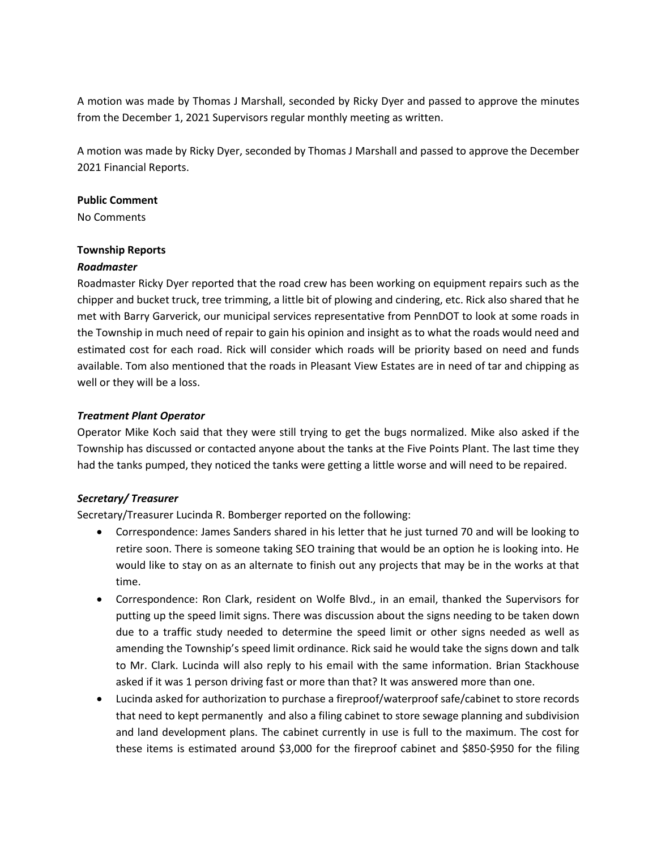A motion was made by Thomas J Marshall, seconded by Ricky Dyer and passed to approve the minutes from the December 1, 2021 Supervisors regular monthly meeting as written.

A motion was made by Ricky Dyer, seconded by Thomas J Marshall and passed to approve the December 2021 Financial Reports.

### **Public Comment**

No Comments

### **Township Reports**

### *Roadmaster*

Roadmaster Ricky Dyer reported that the road crew has been working on equipment repairs such as the chipper and bucket truck, tree trimming, a little bit of plowing and cindering, etc. Rick also shared that he met with Barry Garverick, our municipal services representative from PennDOT to look at some roads in the Township in much need of repair to gain his opinion and insight as to what the roads would need and estimated cost for each road. Rick will consider which roads will be priority based on need and funds available. Tom also mentioned that the roads in Pleasant View Estates are in need of tar and chipping as well or they will be a loss.

# *Treatment Plant Operator*

Operator Mike Koch said that they were still trying to get the bugs normalized. Mike also asked if the Township has discussed or contacted anyone about the tanks at the Five Points Plant. The last time they had the tanks pumped, they noticed the tanks were getting a little worse and will need to be repaired.

# *Secretary/ Treasurer*

Secretary/Treasurer Lucinda R. Bomberger reported on the following:

- Correspondence: James Sanders shared in his letter that he just turned 70 and will be looking to retire soon. There is someone taking SEO training that would be an option he is looking into. He would like to stay on as an alternate to finish out any projects that may be in the works at that time.
- Correspondence: Ron Clark, resident on Wolfe Blvd., in an email, thanked the Supervisors for putting up the speed limit signs. There was discussion about the signs needing to be taken down due to a traffic study needed to determine the speed limit or other signs needed as well as amending the Township's speed limit ordinance. Rick said he would take the signs down and talk to Mr. Clark. Lucinda will also reply to his email with the same information. Brian Stackhouse asked if it was 1 person driving fast or more than that? It was answered more than one.
- Lucinda asked for authorization to purchase a fireproof/waterproof safe/cabinet to store records that need to kept permanently and also a filing cabinet to store sewage planning and subdivision and land development plans. The cabinet currently in use is full to the maximum. The cost for these items is estimated around \$3,000 for the fireproof cabinet and \$850-\$950 for the filing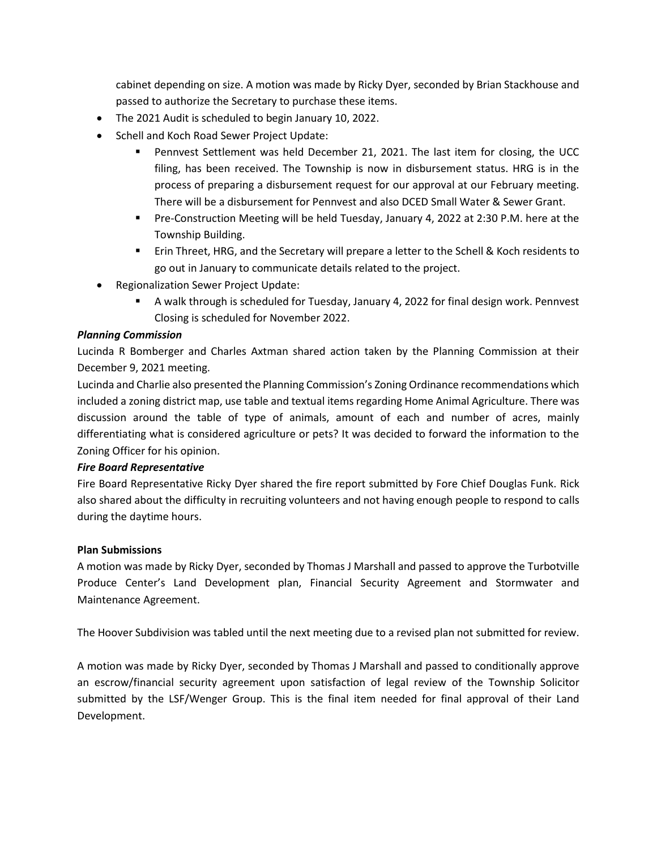cabinet depending on size. A motion was made by Ricky Dyer, seconded by Brian Stackhouse and passed to authorize the Secretary to purchase these items.

- The 2021 Audit is scheduled to begin January 10, 2022.
- Schell and Koch Road Sewer Project Update:
	- Pennvest Settlement was held December 21, 2021. The last item for closing, the UCC filing, has been received. The Township is now in disbursement status. HRG is in the process of preparing a disbursement request for our approval at our February meeting. There will be a disbursement for Pennvest and also DCED Small Water & Sewer Grant.
	- Pre-Construction Meeting will be held Tuesday, January 4, 2022 at 2:30 P.M. here at the Township Building.
	- Erin Threet, HRG, and the Secretary will prepare a letter to the Schell & Koch residents to go out in January to communicate details related to the project.
- Regionalization Sewer Project Update:
	- A walk through is scheduled for Tuesday, January 4, 2022 for final design work. Pennvest Closing is scheduled for November 2022.

# *Planning Commission*

Lucinda R Bomberger and Charles Axtman shared action taken by the Planning Commission at their December 9, 2021 meeting.

Lucinda and Charlie also presented the Planning Commission's Zoning Ordinance recommendations which included a zoning district map, use table and textual items regarding Home Animal Agriculture. There was discussion around the table of type of animals, amount of each and number of acres, mainly differentiating what is considered agriculture or pets? It was decided to forward the information to the Zoning Officer for his opinion.

# *Fire Board Representative*

Fire Board Representative Ricky Dyer shared the fire report submitted by Fore Chief Douglas Funk. Rick also shared about the difficulty in recruiting volunteers and not having enough people to respond to calls during the daytime hours.

# **Plan Submissions**

A motion was made by Ricky Dyer, seconded by Thomas J Marshall and passed to approve the Turbotville Produce Center's Land Development plan, Financial Security Agreement and Stormwater and Maintenance Agreement.

The Hoover Subdivision was tabled until the next meeting due to a revised plan not submitted for review.

A motion was made by Ricky Dyer, seconded by Thomas J Marshall and passed to conditionally approve an escrow/financial security agreement upon satisfaction of legal review of the Township Solicitor submitted by the LSF/Wenger Group. This is the final item needed for final approval of their Land Development.